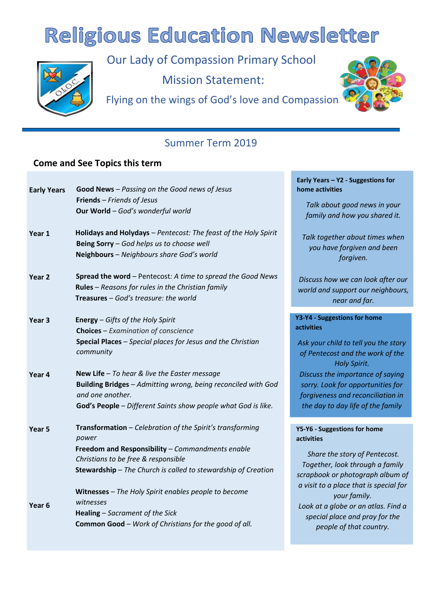# **Religious Education Newsletter**



Our Lady of Compassion Primary School Mission Statement:

Flying on the wings of God's love and Compassion



# Summer Term 2019

## **Come and See Topics this term**

| <b>Early Years</b> | Good News - Passing on the Good news of Jesus                                                                                                             | Early Years - Y2 - Suggestions for<br>home activities                                    |
|--------------------|-----------------------------------------------------------------------------------------------------------------------------------------------------------|------------------------------------------------------------------------------------------|
|                    | Friends - Friends of Jesus<br>Our World - God's wonderful world                                                                                           | Talk about good news in your<br>family and how you shared it.                            |
| Year 1             | Holidays and Holydays - Pentecost: The feast of the Holy Spirit<br>Being Sorry - God helps us to choose well<br>Neighbours - Neighbours share God's world | Talk together about times when<br>you have forgiven and been<br>forgiven.                |
| Year <sub>2</sub>  | Spread the word - Pentecost: A time to spread the Good News<br>Rules - Reasons for rules in the Christian family<br>Treasures - God's treasure: the world | Discuss how we can look after our<br>world and support our neighbours,<br>near and far.  |
|                    |                                                                                                                                                           | Y3-Y4 - Suggestions for home                                                             |
| Year <sub>3</sub>  | Energy - Gifts of the Holy Spirit<br><b>Choices</b> - Examination of conscience                                                                           | <b>activities</b>                                                                        |
|                    | Special Places - Special places for Jesus and the Christian<br>community                                                                                  | Ask your child to tell you the story<br>of Pentecost and the work of the<br>Holy Spirit. |
| Year 4             | New Life - To hear & live the Easter message                                                                                                              | Discuss the importance of saying                                                         |
|                    | Building Bridges - Admitting wrong, being reconciled with God<br>and one another.                                                                         | sorry. Look for opportunities for<br>forgiveness and reconciliation in                   |
|                    | God's People - Different Saints show people what God is like.                                                                                             | the day to day life of the family                                                        |
|                    |                                                                                                                                                           |                                                                                          |
| Year <sub>5</sub>  | Transformation - Celebration of the Spirit's transforming<br>power                                                                                        | Y5-Y6 - Suggestions for home<br>activities                                               |
|                    | Freedom and Responsibility - Commandments enable                                                                                                          | Share the story of Pentecost.                                                            |
|                    | Christians to be free & responsible                                                                                                                       | Together, look through a family                                                          |
|                    | Stewardship - The Church is called to stewardship of Creation                                                                                             | scrapbook or photograph album of                                                         |
|                    | Witnesses - The Holy Spirit enables people to become                                                                                                      | a visit to a place that is special for<br>your family.                                   |
| Year <sub>6</sub>  | witnesses                                                                                                                                                 | Look at a globe or an atlas. Find a                                                      |
|                    | Healing - Sacrament of the Sick                                                                                                                           | special place and pray for the                                                           |
|                    | <b>Common Good - Work of Christians for the good of all.</b>                                                                                              | people of that country.                                                                  |